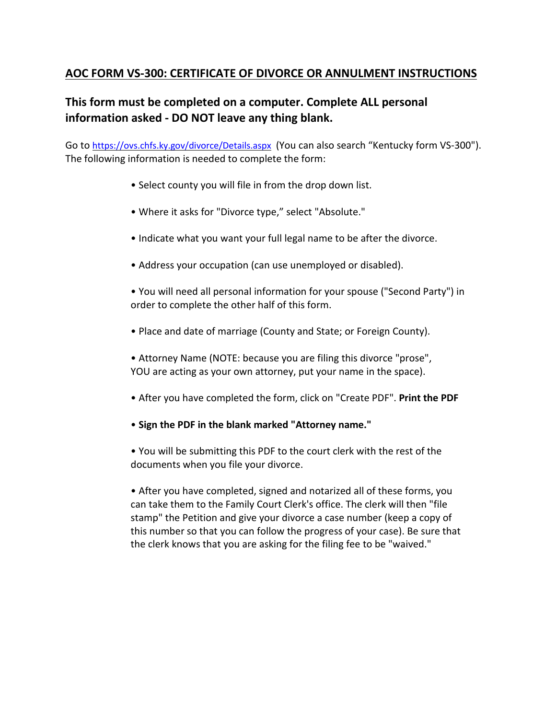## **AOC FORM VS-300: CERTIFICATE OF DIVORCE OR ANNULMENT INSTRUCTIONS**

# **This form must be completed on a computer. Complete ALL personal information asked - DO NOT leave any thing blank.**

Go to <https://ovs.chfs.ky.gov/divorce/Details.aspx> (You can also search "Kentucky form VS-300"). The following information is needed to complete the form:

- Select county you will file in from the drop down list.
- Where it asks for "Divorce type," select "Absolute."
- Indicate what you want your full legal name to be after the divorce.
- Address your occupation (can use unemployed or disabled).
- You will need all personal information for your spouse ("Second Party") in order to complete the other half of this form.
- Place and date of marriage (County and State; or Foreign County).
- Attorney Name (NOTE: because you are filing this divorce "prose", YOU are acting as your own attorney, put your name in the space).
- After you have completed the form, click on "Create PDF". **Print the PDF**
- **Sign the PDF in the blank marked "Attorney name."**
- You will be submitting this PDF to the court clerk with the rest of the documents when you file your divorce.

• After you have completed, signed and notarized all of these forms, you can take them to the Family Court Clerk's office. The clerk will then "file stamp" the Petition and give your divorce a case number (keep a copy of this number so that you can follow the progress of your case). Be sure that the clerk knows that you are asking for the filing fee to be "waived."